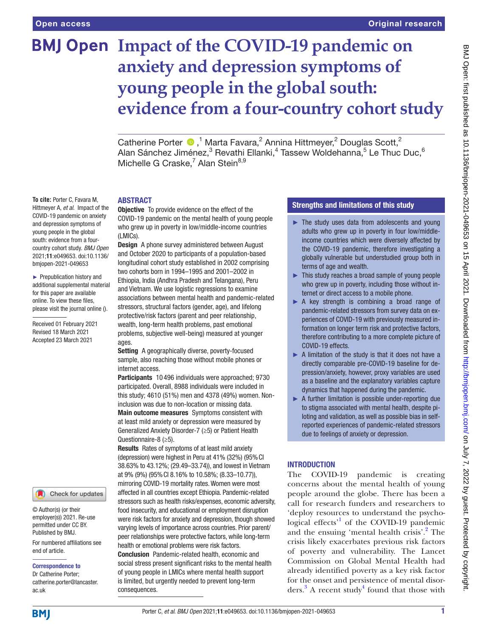**To cite:** Porter C, Favara M, Hittmeyer A, *et al*. Impact of the COVID-19 pandemic on anxiety and depression symptoms of young people in the global south: evidence from a fourcountry cohort study. *BMJ Open* 2021;11:e049653. doi:10.1136/ bmjopen-2021-049653 ► Prepublication history and additional supplemental material for this paper are available online. To view these files, please visit the journal online (). Received 01 February 2021 Revised 18 March 2021 Accepted 23 March 2021

# **BMJ Open Impact of the COVID-19 pandemic on anxiety and depression symptoms of young people in the global south: evidence from a four-country cohort study**

Catherine Porter  $\bigcirc$ ,<sup>1</sup> Marta Favara,<sup>2</sup> Annina Hittmeyer,<sup>2</sup> Douglas Scott,<sup>2</sup> Alan Sánchez Jiménez, $^3$  Revathi Ellanki, $^4$  Tassew Woldehanna, $^5$  Le Thuc Duc, $^6$ Michelle G Craske,<sup>7</sup> Alan Stein<sup>8,9</sup>

#### **ARSTRACT**

**Objective** To provide evidence on the effect of the COVID-19 pandemic on the mental health of young people who grew up in poverty in low/middle-income countries (LMICs).

Design A phone survey administered between August and October 2020 to participants of a population-based longitudinal cohort study established in 2002 comprising two cohorts born in 1994–1995 and 2001–2002 in Ethiopia, India (Andhra Pradesh and Telangana), Peru and Vietnam. We use logistic regressions to examine associations between mental health and pandemic-related stressors, structural factors (gender, age), and lifelong protective/risk factors (parent and peer relationship, wealth, long-term health problems, past emotional problems, subjective well-being) measured at younger ages.

Setting A geographically diverse, poverty-focused sample, also reaching those without mobile phones or internet access.

Participants 10 496 individuals were approached; 9730 participated. Overall, 8988 individuals were included in this study; 4610 (51%) men and 4378 (49%) women. Noninclusion was due to non-location or missing data.

Main outcome measures Symptoms consistent with at least mild anxiety or depression were measured by Generalized Anxiety Disorder-7 (≥5) or Patient Health Questionnaire-8 (≥5).

Results Rates of symptoms of at least mild anxiety (depression) were highest in Peru at 41% (32%) (95%CI 38.63% to 43.12%; (29.49–33.74)), and lowest in Vietnam at 9% (9%) (95%CI 8.16% to 10.58%; (8.33–10.77)), mirroring COVID-19 mortality rates. Women were most affected in all countries except Ethiopia. Pandemic-related stressors such as health risks/expenses, economic adversity, food insecurity, and educational or employment disruption were risk factors for anxiety and depression, though showed varying levels of importance across countries. Prior parent/ peer relationships were protective factors, while long-term health or emotional problems were risk factors. Conclusion Pandemic-related health, economic and social stress present significant risks to the mental health of young people in LMICs where mental health support is limited, but urgently needed to prevent long-term consequences.

## Strengths and limitations of this study

- ► The study uses data from adolescents and young adults who grew up in poverty in four low/middleincome countries which were diversely affected by the COVID-19 pandemic, therefore investigating a globally vulnerable but understudied group both in terms of age and wealth.
- ► This study reaches a broad sample of young people who grew up in poverty, including those without internet or direct access to a mobile phone.
- ► A key strength is combining a broad range of pandemic-related stressors from survey data on experiences of COVID-19 with previously measured information on longer term risk and protective factors, therefore contributing to a more complete picture of COVID-19 effects.
- ► A limitation of the study is that it does not have a directly comparable pre-COVID-19 baseline for depression/anxiety, however, proxy variables are used as a baseline and the explanatory variables capture dynamics that happened during the pandemic.
- ► A further limitation is possible under-reporting due to stigma associated with mental health, despite piloting and validation, as well as possible bias in selfreported experiences of pandemic-related stressors due to feelings of anxiety or depression.

## **INTRODUCTION**

The COVID-19 pandemic is creating concerns about the mental health of young people around the globe. There has been a call for research funders and researchers to 'deploy resources to understand the psycho-logical effects<sup>['1](#page-12-0)</sup> of the COVID-19 pandemic and the ensuing 'mental health crisis'.<sup>[2](#page-12-1)</sup> The crisis likely exacerbates previous risk factors of poverty and vulnerability. The Lancet Commission on Global Mental Health had already identified poverty as a key risk factor for the onset and persistence of mental disorders. $3$  A recent study<sup>[4](#page-12-3)</sup> found that those with

## **BMJ**

ac.uk

end of article.

Correspondence to Dr Catherine Porter; catherine.porter@lancaster.

© Author(s) (or their employer(s)) 2021. Re-use permitted under CC BY. Published by BMJ.

For numbered affiliations see

Check for updates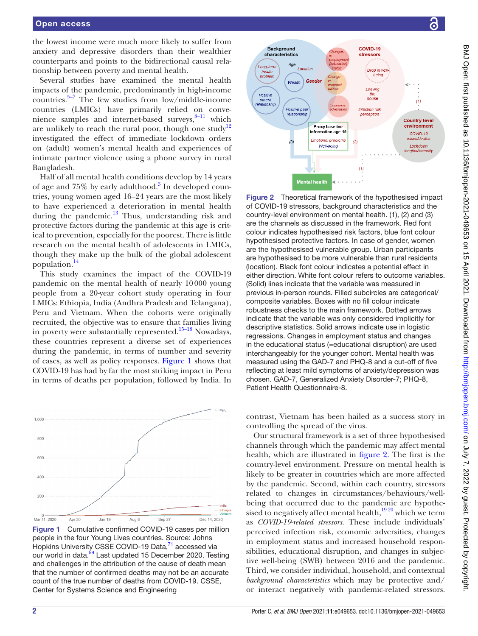the lowest income were much more likely to suffer from anxiety and depressive disorders than their wealthier counterparts and points to the bidirectional causal relationship between poverty and mental health.

Several studies have examined the mental health impacts of the pandemic, predominantly in high-income countries. $5-7$  The few studies from low/middle-income countries (LMICs) have primarily relied on convenience samples and internet-based surveys,<sup>8-11</sup> which are unlikely to reach the rural poor, though one study<sup>12</sup> investigated the effect of immediate lockdown orders on (adult) women's mental health and experiences of intimate partner violence using a phone survey in rural Bangladesh.

Half of all mental health conditions develop by 14 years of age and 75% by early adulthood.<sup>[3](#page-12-2)</sup> In developed countries, young women aged 16–24 years are the most likely to have experienced a deterioration in mental health during the pandemic.<sup>13</sup> Thus, understanding risk and protective factors during the pandemic at this age is critical to prevention, especially for the poorest. There is little research on the mental health of adolescents in LMICs, though they make up the bulk of the global adolescent population.[14](#page-12-8)

This study examines the impact of the COVID-19 pandemic on the mental health of nearly 10000 young people from a 20-year cohort study operating in four LMICs: Ethiopia, India (Andhra Pradesh and Telangana), Peru and Vietnam. When the cohorts were originally recruited, the objective was to ensure that families living in poverty were substantially represented.[15–18](#page-12-9) Nowadays, these countries represent a diverse set of experiences during the pandemic, in terms of number and severity of cases, as well as policy responses. [Figure](#page-1-0) 1 shows that COVID-19 has had by far the most striking impact in Peru in terms of deaths per population, followed by India. In



<span id="page-1-0"></span>Figure 1 Cumulative confirmed COVID-19 cases per million people in the four Young Lives countries. Source: Johns Hopkins University CSSE COVID-19 Data,<sup>71</sup> accessed via our world in data.<sup>[59](#page-13-1)</sup> Last updated 15 December 2020. Testing and challenges in the attribution of the cause of death mean that the number of confirmed deaths may not be an accurate count of the true number of deaths from COVID-19. CSSE, Center for Systems Science and Engineering



<span id="page-1-1"></span>Figure 2 Theoretical framework of the hypothesised impact of COVID-19 stressors, background characteristics and the country-level environment on mental health. (1), (2) and (3) are the channels as discussed in the framework. Red font colour indicates hypothesised risk factors, blue font colour hypothesised protective factors. In case of gender, women are the hypothesised vulnerable group. Urban participants are hypothesised to be more vulnerable than rural residents (location). Black font colour indicates a potential effect in either direction. White font colour refers to outcome variables. (Solid) lines indicate that the variable was measured in previous in-person rounds. Filled subcircles are categorical/ composite variables. Boxes with no fill colour indicate robustness checks to the main framework. Dotted arrows indicate that the variable was only considered implicitly for descriptive statistics. Solid arrows indicate use in logistic regressions. Changes in employment status and changes in the educational status (=educational disruption) are used interchangeably for the younger cohort. Mental health was measured using the GAD-7 and PHQ-8 and a cut-off of five reflecting at least mild symptoms of anxiety/depression was chosen. GAD-7, Generalized Anxiety Disorder-7; PHQ-8, Patient Health Questionnaire-8.

contrast, Vietnam has been hailed as a success story in controlling the spread of the virus.

Our structural framework is a set of three hypothesised channels through which the pandemic may affect mental health, which are illustrated in [figure](#page-1-1) 2. The first is the country-level environment. Pressure on mental health is likely to be greater in countries which are more affected by the pandemic. Second, within each country, stressors related to changes in circumstances/behaviours/wellbeing that occurred due to the pandemic are hypothesised to negatively affect mental health, $\frac{1920}{2}$  which we term as *COVID-19-related stressors*. These include individuals' perceived infection risk, economic adversities, changes in employment status and increased household responsibilities, educational disruption, and changes in subjective well-being (SWB) between 2016 and the pandemic. Third, we consider individual, household, and contextual *background characteristics* which may be protective and/ or interact negatively with pandemic-related stressors.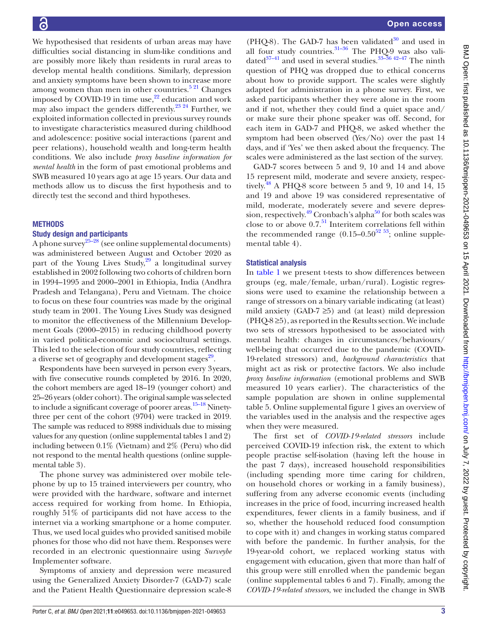We hypothesised that residents of urban areas may have difficulties social distancing in slum-like conditions and are possibly more likely than residents in rural areas to develop mental health conditions. Similarly, depression and anxiety symptoms have been shown to increase more among women than men in other countries.<sup>5 21</sup> Changes imposed by COVID-19 in time use, $2^2$  education and work may also impact the genders differently.<sup>23</sup> <sup>24</sup> Further, we exploited information collected in previous survey rounds to investigate characteristics measured during childhood and adolescence: positive social interactions (parent and peer relations), household wealth and long-term health conditions. We also include *proxy baseline information for mental health* in the form of past emotional problems and SWB measured 10 years ago at age 15 years. Our data and methods allow us to discuss the first hypothesis and to directly test the second and third hypotheses.

#### **METHODS**

#### Study design and participants

A phone survey<sup>25–28</sup> (see [online supplemental documents\)](https://dx.doi.org/10.1136/bmjopen-2021-049653) was administered between August and October 2020 as part of the Young Lives Study, $29$  a longitudinal survey established in 2002 following two cohorts of children born in 1994–1995 and 2000–2001 in Ethiopia, India (Andhra Pradesh and Telangana), Peru and Vietnam. The choice to focus on these four countries was made by the original study team in 2001. The Young Lives Study was designed to monitor the effectiveness of the Millennium Development Goals (2000–2015) in reducing childhood poverty in varied political-economic and sociocultural settings. This led to the selection of four study countries, reflecting a diverse set of geography and development stages<sup>29</sup>.

Respondents have been surveyed in person every 3years, with five consecutive rounds completed by 2016. In 2020, the cohort members are aged 18–19 (younger cohort) and 25–26 years (older cohort). The original sample was selected to include a significant coverage of poorer areas. $15-18$  Ninetythree per cent of the cohort (9704) were tracked in 2019. The sample was reduced to 8988 individuals due to missing values for any question [\(online supplemental tables 1 and 2\)](https://dx.doi.org/10.1136/bmjopen-2021-049653) including between 0.1% (Vietnam) and 2% (Peru) who did not respond to the mental health questions ([online supple](https://dx.doi.org/10.1136/bmjopen-2021-049653)[mental table 3\)](https://dx.doi.org/10.1136/bmjopen-2021-049653).

The phone survey was administered over mobile telephone by up to 15 trained interviewers per country, who were provided with the hardware, software and internet access required for working from home. In Ethiopia, roughly 51% of participants did not have access to the internet via a working smartphone or a home computer. Thus, we used local guides who provided sanitised mobile phones for those who did not have them. Responses were recorded in an electronic questionnaire using *Surveybe* Implementer software.

Symptoms of anxiety and depression were measured using the Generalized Anxiety Disorder-7 (GAD-7) scale and the Patient Health Questionnaire depression scale-8

(PHQ-8). The GAD-7 has been validated $30$  and used in all four study countries. $31-36$  The PHQ-9 was also validated $37-41$  and used in several studies.  $33-36$  42-47 The ninth question of PHQ was dropped due to ethical concerns about how to provide support. The scales were slightly adapted for administration in a phone survey. First, we asked participants whether they were alone in the room and if not, whether they could find a quiet space and/ or make sure their phone speaker was off. Second, for each item in GAD-7 and PHQ-8, we asked whether the symptom had been observed (Yes/No) over the past 14 days, and if 'Yes' we then asked about the frequency. The scales were administered as the last section of the survey.

GAD-7 scores between 5 and 9, 10 and 14 and above 15 represent mild, moderate and severe anxiety, respectively.<sup>48</sup> A PHO-8 score between 5 and 9, 10 and 14, 15 and 19 and above 19 was considered representative of mild, moderate, moderately severe and severe depression, respectively.<sup>49</sup> Cronbach's alpha<sup>50</sup> for both scales was close to or above 0.7.[51](#page-13-5) Interitem correlations fell within the recommended range  $(0.15-0.50^{52} \text{ }^{53})$ ; [online supple](https://dx.doi.org/10.1136/bmjopen-2021-049653)[mental table 4](https://dx.doi.org/10.1136/bmjopen-2021-049653)).

## Statistical analysis

In [table](#page-3-0) 1 we present t-tests to show differences between groups (eg, male/female, urban/rural). Logistic regressions were used to examine the relationship between a range of stressors on a binary variable indicating (at least) mild anxiety (GAD-7  $\geq$ 5) and (at least) mild depression  $(PHQ-8\geq 5)$ , as reported in the Results section. We include two sets of stressors hypothesised to be associated with mental health: changes in circumstances/behaviours/ well-being that occurred due to the pandemic (COVID-19-related stressors) and*, background characteristics* that might act as risk or protective factors. We also include *proxy baseline information* (emotional problems and SWB measured 10 years earlier). The characteristics of the sample population are shown in [online supplemental](https://dx.doi.org/10.1136/bmjopen-2021-049653)  [table 5. Online supplemental figure 1](https://dx.doi.org/10.1136/bmjopen-2021-049653) gives an overview of the variables used in the analysis and the respective ages when they were measured.

The first set of *COVID-19-related stressors* include perceived COVID-19 infection risk, the extent to which people practise self-isolation (having left the house in the past 7 days), increased household responsibilities (including spending more time caring for children, on household chores or working in a family business), suffering from any adverse economic events (including increases in the price of food, incurring increased health expenditures, fewer clients in a family business, and if so, whether the household reduced food consumption to cope with it) and changes in working status compared with before the pandemic. In further analysis, for the 19-year-old cohort, we replaced working status with engagement with education, given that more than half of this group were still enrolled when the pandemic began [\(online supplemental tables 6 and 7](https://dx.doi.org/10.1136/bmjopen-2021-049653)). Finally, among the *COVID-19-related stressors*, we included the change in SWB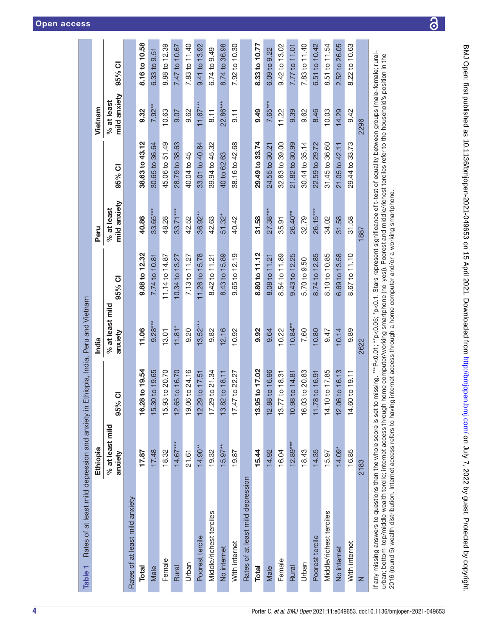<span id="page-3-0"></span>

|                                                                                                                                                                                                                                                                                                                                                                                                                                                                                           | Ethiopia                   |                       | India                      |                                                                      | Peru                         |                | Vietnam                      |               |
|-------------------------------------------------------------------------------------------------------------------------------------------------------------------------------------------------------------------------------------------------------------------------------------------------------------------------------------------------------------------------------------------------------------------------------------------------------------------------------------------|----------------------------|-----------------------|----------------------------|----------------------------------------------------------------------|------------------------------|----------------|------------------------------|---------------|
|                                                                                                                                                                                                                                                                                                                                                                                                                                                                                           | % at least mild<br>anxiety | $\overline{o}$<br>95% | % at least mild<br>anxiety | 95% CI                                                               | mild anxiety<br>$%$ at least | 95% CI         | mild anxiety<br>$%$ at least | 95% CI        |
| Rates of at least mild anxiety                                                                                                                                                                                                                                                                                                                                                                                                                                                            |                            |                       |                            |                                                                      |                              |                |                              |               |
| <b>Total</b>                                                                                                                                                                                                                                                                                                                                                                                                                                                                              | 17.87                      | to 19.54<br>16.28     | 11.06                      | 9.88 to 12.32                                                        | 40.86                        | 38.63 to 43.12 | 9.32                         | 8.16 to 10.58 |
| Male                                                                                                                                                                                                                                                                                                                                                                                                                                                                                      | 17.48                      | to 19.65<br>15.30     | $9.28***$                  | 7.74 to 10.81                                                        | $33.65***$                   | 30.65 to 36.64 | $7.92***$                    | 6.33 to 9.51  |
| Female                                                                                                                                                                                                                                                                                                                                                                                                                                                                                    | 18.32                      | to 20.70<br>15.93     | 13.01                      | 11.14 to 14.87                                                       | 48.28                        | 45.06 to 51.49 | 10.63                        | 8.88 to 12.39 |
| Rural                                                                                                                                                                                                                                                                                                                                                                                                                                                                                     | $14.67***$                 | to 16.70<br>12.65     | $11.81*$                   | 10.34 to 13.27                                                       | $33.71***$                   | 28.79 to 38.63 | 9.07                         | 7.47 to 10.67 |
| Urban                                                                                                                                                                                                                                                                                                                                                                                                                                                                                     | 21.61                      | to 24.16<br>19.06     | 0.20                       | 7.13 to 11.27                                                        | 42.52                        | 40.04 to 45    | 9.62                         | 7.83 to 11.40 |
| Poorest tercile                                                                                                                                                                                                                                                                                                                                                                                                                                                                           | $14.90**$                  | to 17.51<br>12.29     | $13.52***$                 | 11.26 to 15.78                                                       | $36.92***$                   | 33.01 to 40.84 | $11.67***$                   | 9.41 to 13.92 |
| Middle/richest terciles                                                                                                                                                                                                                                                                                                                                                                                                                                                                   | 19.32                      | to 21.34<br>17.29     | 9.82                       | 8.42 to 11.21                                                        | 42.63                        | 39.94 to 45.32 | 8.11                         | 6.74 to 9.49  |
| No internet                                                                                                                                                                                                                                                                                                                                                                                                                                                                               | $15.97***$                 | to 18.11<br>13.82     | 2.16                       | 8.43 to 15.89                                                        | $51.32*$                     | 40 to 62.63    | 22.86***                     | 8.74 to 36.98 |
| With internet                                                                                                                                                                                                                                                                                                                                                                                                                                                                             | 19.87                      | to 22.27<br>17.47     | 10.92                      | 9.65 to 12.19                                                        | 40.42                        | 38.16 to 42.68 | 9.11                         | 7.92 to 10.30 |
| Rates of at least mild depression                                                                                                                                                                                                                                                                                                                                                                                                                                                         |                            |                       |                            |                                                                      |                              |                |                              |               |
| <b>Total</b>                                                                                                                                                                                                                                                                                                                                                                                                                                                                              | 15.44                      | to 17.02<br>13.95     | 9.92                       | 8.80 to 11.12                                                        | 31.58                        | 29.49 to 33.74 | 9.49                         | 8.33 to 10.77 |
| Male                                                                                                                                                                                                                                                                                                                                                                                                                                                                                      | 14.92                      | to 16.96<br>12.88     | 9.64                       | 8.08 to 11.21                                                        | $27.38***$                   | 24.55 to 30.21 | 7.65***                      | 6.09 to 9.22  |
| Female                                                                                                                                                                                                                                                                                                                                                                                                                                                                                    | 16.04                      | to 18.31<br>13.77     | 10.22                      | 8.54 to 11.89                                                        | 35.91                        | 32.83 to 39.00 | 11.22                        | 9.42 to 13.02 |
| Rural                                                                                                                                                                                                                                                                                                                                                                                                                                                                                     | $12.89***$                 | to $14.81$<br>10.98   | $10.84**$                  | 9.43 to 12.25                                                        | 26.40**                      | 21.82 to 30.99 | 9.39                         | 7.77 to 11.01 |
| Urban                                                                                                                                                                                                                                                                                                                                                                                                                                                                                     | 18.43                      | to 20.83<br>16.03     | 7.60                       | 5.70 to 9.50                                                         | 32.79                        | 30.44 to 35.14 | 9.62                         | 7.83 to 11.40 |
| Poorest tercile                                                                                                                                                                                                                                                                                                                                                                                                                                                                           | 14.35                      | to 16.91<br>11.78     | 10.80                      | 8.74 to 12.85                                                        | 26.15***                     | 22.59 to 29.72 | 8.46                         | 6.51 to 10.42 |
| Middle/richest terciles                                                                                                                                                                                                                                                                                                                                                                                                                                                                   | 15.97                      | to 17.85<br>14.10     | 6.47                       | 8.10 to 10.85                                                        | 34.02                        | 31.45 to 36.60 | 10.03                        | 8.51 to 11.54 |
| No internet                                                                                                                                                                                                                                                                                                                                                                                                                                                                               | $14.09*$                   | to 16.13<br>12.06     | 10.14                      | 6.69 to 13.58                                                        | 31.58                        | 21.05 to 42.11 | 14.29                        | 2.52 to 26.05 |
| With internet                                                                                                                                                                                                                                                                                                                                                                                                                                                                             | 16.85                      | to 19.11<br>14.60     | 9.89                       | 8.67 to 11.10                                                        | 31.58                        | 29.44 to 33.73 | 9.42                         | 8.22 to 10.63 |
| z                                                                                                                                                                                                                                                                                                                                                                                                                                                                                         | 2183                       |                       | 2622                       |                                                                      | 1887                         |                | 2296                         |               |
| If any missing answers to questions then the whole score is set to missing. ***P<0.01; **p<0.05; *p<0.05; *p<0.05; *p<0.05; *p<0.05; *present significance of t-test of equality between groups (male-female; rural-<br>urban; bottom-top/middle wealth tercile; internet access through home computer/working smartphone (no-yes)). Poorest and middle/richest terciles refer to the household's position in the<br>2016 (round 5) wealth distribution. Internet access refers to having |                            |                       |                            | internet access through a home computer and/or a working smartphone. |                              |                |                              |               |

<u>යි</u>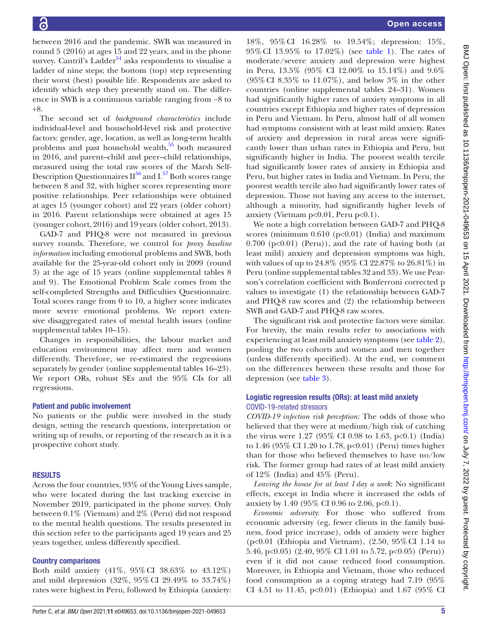between 2016 and the pandemic. SWB was measured in round 5 (2016) at ages 15 and 22 years, and in the phone survey. Cantril's Ladder<sup>[54](#page-13-7)</sup> asks respondents to visualise a ladder of nine steps; the bottom (top) step representing their worst (best) possible life. Respondents are asked to identify which step they presently stand on. The difference in SWB is a continuous variable ranging from −8 to +8.

The second set of *background characteristics* include individual-level and household-level risk and protective factors: gender, age, location, as well as long-term health problems and past household wealth, $55$  both measured in 2016, and parent–child and peer–child relationships, measured using the total raw scores of the Marsh Self-Description Questionnaires  $II^{56}$  and  $I^{57}$  Both scores range between 8 and 32, with higher scores representing more positive relationships. Peer relationships were obtained at ages 15 (younger cohort) and 22 years (older cohort) in 2016. Parent relationships were obtained at ages 15 (younger cohort, 2016) and 19 years (older cohort, 2013).

GAD-7 and PHQ-8 were not measured in previous survey rounds. Therefore, we control for *proxy baseline information* including emotional problems and SWB*,* both available for the 25-year-old cohort only in 2009 (round 3) at the age of 15 years [\(online supplemental tables 8](https://dx.doi.org/10.1136/bmjopen-2021-049653) [and 9](https://dx.doi.org/10.1136/bmjopen-2021-049653)). The Emotional Problem Scale comes from the self-completed Strengths and Difficulties Questionnaire. Total scores range from 0 to 10, a higher score indicates more severe emotional problems. We report extensive disaggregated rates of mental health issues [\(online](https://dx.doi.org/10.1136/bmjopen-2021-049653) [supplemental tables 10–15\)](https://dx.doi.org/10.1136/bmjopen-2021-049653).

Changes in responsibilities, the labour market and education environment may affect men and women differently. Therefore, we re-estimated the regressions separately by gender [\(online supplemental tables 16–23](https://dx.doi.org/10.1136/bmjopen-2021-049653)). We report ORs, robust SEs and the 95% CIs for all regressions.

## Patient and public involvement

No patients or the public were involved in the study design, setting the research questions, interpretation or writing up of results, or reporting of the research as it is a prospective cohort study.

## RESULTS

Across the four countries, 93% of the Young Lives sample, who were located during the last tracking exercise in November 2019, participated in the phone survey. Only between 0.1% (Vietnam) and 2% (Peru) did not respond to the mental health questions. The results presented in this section refer to the participants aged 19 years and 25 years together, unless differently specified.

## Country comparisons

Both mild anxiety (41%, 95%CI 38.63% to 43.12%) and mild depression (32%, 95%CI 29.49% to 33.74%) rates were highest in Peru, followed by Ethiopia (anxiety:

18%, 95%CI 16.28% to 19.54%; depression: 15%, 95%CI 13.95% to 17.02%) (see [table](#page-3-0) 1). The rates of moderate/severe anxiety and depression were highest in Peru, 13.5% (95% CI 12.00% to 15.14%) and 9.6% (95%CI 8.35% to 11.07%), and below 3% in the other countries ([online supplemental tables 24–31](https://dx.doi.org/10.1136/bmjopen-2021-049653)). Women had significantly higher rates of anxiety symptoms in all countries except Ethiopia and higher rates of depression in Peru and Vietnam. In Peru, almost half of all women had symptoms consistent with at least mild anxiety. Rates of anxiety and depression in rural areas were significantly lower than urban rates in Ethiopia and Peru, but significantly higher in India. The poorest wealth tercile had significantly lower rates of anxiety in Ethiopia and Peru, but higher rates in India and Vietnam. In Peru, the poorest wealth tercile also had significantly lower rates of depression. Those not having any access to the internet, although a minority, had significantly higher levels of anxiety (Vietnam  $p<0.01$ , Peru  $p<0.1$ ).

We note a high correlation between GAD-7 and PHQ-8 scores (minimum  $0.610$  (p<0.01) (India) and maximum  $0.700$  ( $p<0.01$ ) (Peru)), and the rate of having both (at least mild) anxiety and depression symptoms was high, with values of up to 24.8% (95% CI 22.87% to 26.81%) in Peru ([online supplemental tables 32 and 33\)](https://dx.doi.org/10.1136/bmjopen-2021-049653). We use Pearson's correlation coefficient with Bonferroni corrected p values to investigate (1) the relationship between GAD-7 and PHQ-8 raw scores and (2) the relationship between SWB and GAD-7 and PHQ-8 raw scores.

The significant risk and protective factors were similar. For brevity, the main results refer to associations with experiencing at least mild anxiety symptoms (see [table](#page-5-0) 2), pooling the two cohorts and women and men together (unless differently specified). At the end, we comment on the differences between these results and those for depression (see [table](#page-7-0) 3).

## Logistic regression results (ORs): at least mild anxiety COVID-19-related stressors

*COVID-19 infection risk perception:* The odds of those who believed that they were at medium/high risk of catching the virus were  $1.27$  (95% CI 0.98 to 1.63, p<0.1) (India) to 1.46 (95% CI 1.20 to 1.78, p<0.01) (Peru) times higher than for those who believed themselves to have no/low risk. The former group had rates of at least mild anxiety of 12% (India) and 45% (Peru).

*Leaving the house for at least 1day a week*: No significant effects, except in India where it increased the odds of anxiety by 1.40 (95% CI 0.96 to 2.06, p<0.1).

*Economic adversity*: For those who suffered from economic adversity (eg, fewer clients in the family business, food price increase), odds of anxiety were higher (p<0.01 (Ethiopia and Vietnam), (2.50, 95%CI 1.14 to 5.46, p<0.05) (2.40, 95% CI 1.01 to 5.72, p<0.05) (Peru)) even if it did not cause reduced food consumption. Moreover, in Ethiopia and Vietnam, those who reduced food consumption as a coping strategy had 7.19 (95% CI 4.51 to 11.45, p<0.01) (Ethiopia) and 1.67 (95% CI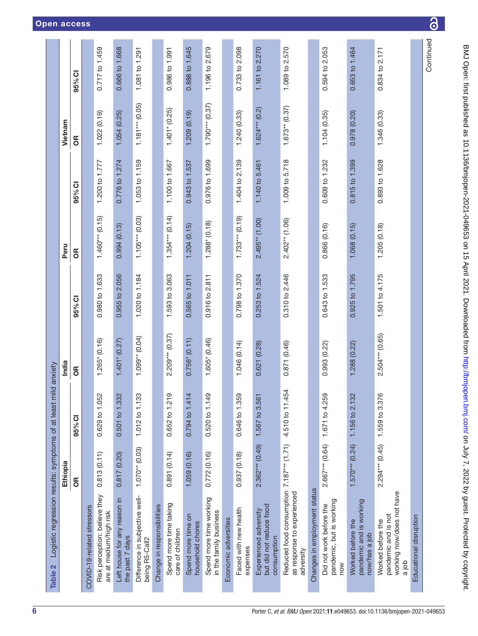<span id="page-5-0"></span>

| Logistic regression results: symptoms of at least<br>$\mathbf{a}$<br>Table :        |                   | mild anxiety                       |                   |                |                   |                |                    |                |
|-------------------------------------------------------------------------------------|-------------------|------------------------------------|-------------------|----------------|-------------------|----------------|--------------------|----------------|
|                                                                                     | Ethiopia          |                                    | India             |                | Peru              |                | Vietnam            |                |
|                                                                                     | 6R                | 95% CI                             | <b>SP</b>         | 95% CI         | 6R                | 95% CI         | 6R                 | 95% CI         |
| COVID-19-related stressors                                                          |                   |                                    |                   |                |                   |                |                    |                |
| Risk perception: believe they<br>are at medium/high risk                            | 0.813(0.11)       | 0.629 to 1.052                     | $1.265$ (0.16)    | 0.980 to 1.633 | $1.460***$ (0.15) | 1.200 to 1.777 | $(0.19)$ 220.1     | 0.717 to 1.459 |
| Left house for any reason in<br>the past 7 days                                     | 0.817(0.20)       | 32<br>$0.501$ to $1.3$             | $1.401$ $(0.27)$  | 0.955 to 2.056 | 0.994(0.13)       | 0.776 to 1.274 | 1.054(0.25)        | 0.666 to 1.668 |
| Difference in subjective well-<br>being R5-Call2                                    | $1.070**$ (0.03)  | 1.012 to 1.133                     | $1.099**$ (0.04)  | 1.020 to 1.184 | $1.105***$ (0.03) | 1.053 to 1.159 | $1.181***$ (0.05)  | 1.081 to 1.291 |
| Change in responsibilities                                                          |                   |                                    |                   |                |                   |                |                    |                |
| Spend more time taking<br>care of children                                          | 0.891(0.14)       | $\frac{1}{2}$<br>0.652 to 1.2      | 2.209*** (0.37)   | 1.593 to 3.063 | $1.354***$ (0.14) | 1.100 to 1.667 | $1.401*$ (0.25)    | 0.986 to 1.991 |
| Spend more time on<br>household chores                                              | 1.059(0.16)       | $\overline{4}$<br>0.794 to 1.4     | $0.756*(0.11)$    | 0.565 to 1.011 | 1.204(0.15)       | 0.943 to 1.537 | 1.209(0.19)        | 0.888 to 1.645 |
| Spend more time working<br>in the family business                                   | 0.772(0.16)       | $\overline{6}$<br>$0.520$ to $1.1$ | $1.605*(0.46)$    | 0.916 to 2.811 | $1.288$ $(0.18)$  | 0.976 to 1.699 | $1.790***$ (0.37)  | 1.196 to 2.679 |
| Economic adversities                                                                |                   |                                    |                   |                |                   |                |                    |                |
| Faced with new health<br>expenses                                                   | 0.937 (0.18)      | 59<br>0.646 to 1.3                 | 1.046 (0.14)      | 0.798 to 1.370 | $1.733***$ (0.19) | 1.404 to 2.139 | 1.240(0.33)        | 0.733 to 2.098 |
| but did not reduce food<br>Experienced adversity<br>consumption                     | $2.362***$ (0.49) | 1.567 to 3.561                     | 0.621 (0.28)      | 0.253 to 1.524 | $2.495**$ (1.00)  | 1.140 to 5.461 | $1.624***$ $(0.2)$ | 1.161 to 2.270 |
| Reduced food consumption 7.187*** (1.71)<br>as response to experienced<br>adversity |                   | 4.510 to 11.454                    | 0.871 (0.46)      | 0.310 to 2.446 | $2.402**$ (1.06)  | 1.009 to 5.718 | $1.673**$ (0.37)   | 1.089 to 2.570 |
| Changes in employment status                                                        |                   |                                    |                   |                |                   |                |                    |                |
| pandemic, but is working<br>Did not work before the<br>now                          | $2.667***$ (0.64) | 59<br>1.671 to 4.2                 | 0.993 (0.22)      | 0.643 to 1.533 | 0.866(0.16)       | 0.609 to 1.232 | 1.104(0.35)        | 0.594 to 2.053 |
| pandemic and is working<br>Worked before the<br>now/has a job                       | $1.570***$ (0.24) | 1.156 to 2.132                     | 1.288 (0.22)      | 0.925 to 1.795 | 1.068(0.15)       | 0.815 to 1.399 | 0.978(0.20)        | 0.653 to 1.464 |
| working now/does not have<br>pandemic and is not<br>Worked before the<br>a job      | $2.294***$ (0.45) | 76<br>1.559 to 3.3                 | $2.504***$ (0.65) | 1.501 to 4.175 | 1.205(0.18)       | 0.893 to 1.628 | 1.346 (0.33)       | 0.834 to 2.171 |
| Educational disruption                                                              |                   |                                    |                   |                |                   |                |                    |                |
|                                                                                     |                   |                                    |                   |                |                   |                |                    | Continued      |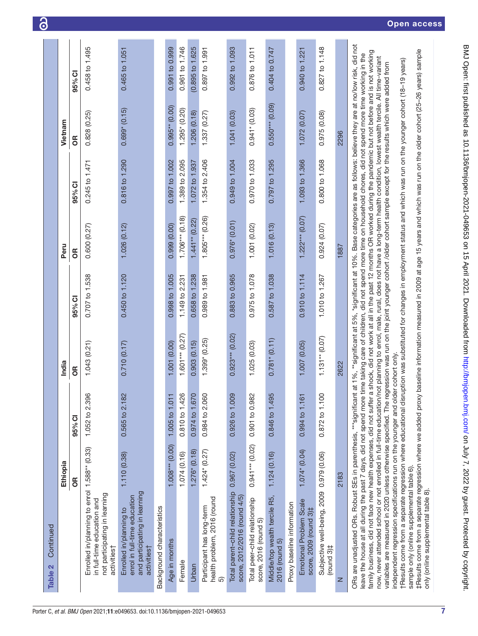|                                                                                                                                                                                                                                                                                                                                                                                                                                                                                                                                                                                                                                                                                                                                                                                                                                                                                                                                                                                                                                                                                                                                                                                                                                   | Ethiopia          |                | India             |                                                                                                                                                                                                                                               | Peru              |                | Vietnam             |                   |
|-----------------------------------------------------------------------------------------------------------------------------------------------------------------------------------------------------------------------------------------------------------------------------------------------------------------------------------------------------------------------------------------------------------------------------------------------------------------------------------------------------------------------------------------------------------------------------------------------------------------------------------------------------------------------------------------------------------------------------------------------------------------------------------------------------------------------------------------------------------------------------------------------------------------------------------------------------------------------------------------------------------------------------------------------------------------------------------------------------------------------------------------------------------------------------------------------------------------------------------|-------------------|----------------|-------------------|-----------------------------------------------------------------------------------------------------------------------------------------------------------------------------------------------------------------------------------------------|-------------------|----------------|---------------------|-------------------|
|                                                                                                                                                                                                                                                                                                                                                                                                                                                                                                                                                                                                                                                                                                                                                                                                                                                                                                                                                                                                                                                                                                                                                                                                                                   | 6R                | 95% CI         | 6R                | 95% CI                                                                                                                                                                                                                                        | 6R                | 95% CI         | <b>SP</b>           | 95% CI            |
| Enrolled in/planning to enrol 1.588** (0.33)<br>not participating in learning<br>in full-time education and<br>activities†                                                                                                                                                                                                                                                                                                                                                                                                                                                                                                                                                                                                                                                                                                                                                                                                                                                                                                                                                                                                                                                                                                        |                   | 1.052 to 2.396 | 1.043(0.21)       | 0.707 to 1.538                                                                                                                                                                                                                                | 0.600(0.27)       | 0.245 to 1.471 | 0.828(0.25)         | 0.458 to 1.495    |
| and participating in learning<br>enrol in full-time education<br>Enrolled in/planning to<br>activities†                                                                                                                                                                                                                                                                                                                                                                                                                                                                                                                                                                                                                                                                                                                                                                                                                                                                                                                                                                                                                                                                                                                           | 1.110 (0.38)      | 0.565 to 2.182 | 0.710 (0.17)      | 0.450 to 1.120                                                                                                                                                                                                                                | 1.026(0.12)       | 0.816 to 1.290 | $0.699*(0.15)$      | 0.465 to 1.051    |
| Background characteristics                                                                                                                                                                                                                                                                                                                                                                                                                                                                                                                                                                                                                                                                                                                                                                                                                                                                                                                                                                                                                                                                                                                                                                                                        |                   |                |                   |                                                                                                                                                                                                                                               |                   |                |                     |                   |
| Age in months                                                                                                                                                                                                                                                                                                                                                                                                                                                                                                                                                                                                                                                                                                                                                                                                                                                                                                                                                                                                                                                                                                                                                                                                                     | $1.008***$ (0.00) | 1.005 to 1.011 | 1.001 (0.00)      | 0.998 to 1.005                                                                                                                                                                                                                                | 0.999(0.00)       | 0.997 to 1.002 | $0.995**$ $(0.00)$  | 0.991 to 0.999    |
| Female                                                                                                                                                                                                                                                                                                                                                                                                                                                                                                                                                                                                                                                                                                                                                                                                                                                                                                                                                                                                                                                                                                                                                                                                                            | 1.074(0.16)       | 0.810 to 1.426 | $1.601***$ (0.27) | 1.149 to 2.231                                                                                                                                                                                                                                | $1.706***$ (0.18) | 1.389 to 2.095 | $1.295*(0.20)$      | 0.961 to 1.746    |
| Urban                                                                                                                                                                                                                                                                                                                                                                                                                                                                                                                                                                                                                                                                                                                                                                                                                                                                                                                                                                                                                                                                                                                                                                                                                             | $1.276$ (0.18)    | 0.974 to 1.670 | 0.903(0.15)       | 0.658 to 1.238                                                                                                                                                                                                                                | $1.441**$ (0.22)  | 1.072 to 1.937 | 1.206 (0.18)        | (0.895 t 0 1.625) |
| health problem, 2016 (round<br>Participant has long-term<br>6                                                                                                                                                                                                                                                                                                                                                                                                                                                                                                                                                                                                                                                                                                                                                                                                                                                                                                                                                                                                                                                                                                                                                                     | $1.424*(0.27)$    | 0.984 to 2.060 | $1.399* (0.25)$   | 0.989 to 1.981                                                                                                                                                                                                                                | $1.805***$ (0.26) | 1.354 to 2.406 | 1.337 (0.27)        | 0.897 to 1.991    |
| Total parent-child relationship<br>score, 2012/2016 (round 4/5)                                                                                                                                                                                                                                                                                                                                                                                                                                                                                                                                                                                                                                                                                                                                                                                                                                                                                                                                                                                                                                                                                                                                                                   | 0.967(0.02)       | 0.926 to 1.009 | $0.923***$ (0.02) | 0.883 to 0.965                                                                                                                                                                                                                                | $0.976$ (0.01)    | 0.949 to 1.004 | 1.041(0.03)         | 0.992 to 1.093    |
| Total peer-child relationship<br>score, 2016 (round 5)                                                                                                                                                                                                                                                                                                                                                                                                                                                                                                                                                                                                                                                                                                                                                                                                                                                                                                                                                                                                                                                                                                                                                                            | $0.941***$ (0.02) | 0.901 to 0.982 | 1.025 (0.03)      | 0.975 to 1.078                                                                                                                                                                                                                                | 1.001(0.02)       | 0.970 to 1.033 | $0.941$ * $(0.03)$  | 0.876 to 1.011    |
| Middle/top wealth tercile R5,<br>2016 (round 5)                                                                                                                                                                                                                                                                                                                                                                                                                                                                                                                                                                                                                                                                                                                                                                                                                                                                                                                                                                                                                                                                                                                                                                                   | 1.124(0.16)       | 0.846 to 1.495 | $0.781* (0.11)$   | 0.587 to 1.038                                                                                                                                                                                                                                | 1.016(0.13)       | 0.797 to 1.295 | $0.550***$ $(0.09)$ | 0.404 to 0.747    |
| Proxy baseline information                                                                                                                                                                                                                                                                                                                                                                                                                                                                                                                                                                                                                                                                                                                                                                                                                                                                                                                                                                                                                                                                                                                                                                                                        |                   |                |                   |                                                                                                                                                                                                                                               |                   |                |                     |                   |
| Emotional Problem Scale<br>score, 2009 (round 3) <sup>‡</sup>                                                                                                                                                                                                                                                                                                                                                                                                                                                                                                                                                                                                                                                                                                                                                                                                                                                                                                                                                                                                                                                                                                                                                                     | 1.074* (0.04)     | 0.994 to 1.161 | 1.007 (0.05)      | 0.910 to 1.114                                                                                                                                                                                                                                | $1.222***$ (0.07) | 1.093 to 1.366 | 1.072(0.07)         | 0.940 to 1.221    |
| Subjective well-being, 2009 0.979 (0.06)<br>te puna)                                                                                                                                                                                                                                                                                                                                                                                                                                                                                                                                                                                                                                                                                                                                                                                                                                                                                                                                                                                                                                                                                                                                                                              |                   | 0.872 to 1.100 | $1.131**$ (0.07)  | 1.010 to 1.267                                                                                                                                                                                                                                | 0.924 (0.07)      | 0.800 to 1.068 | 0.975(0.08)         | 0.827 to 1.148    |
| z                                                                                                                                                                                                                                                                                                                                                                                                                                                                                                                                                                                                                                                                                                                                                                                                                                                                                                                                                                                                                                                                                                                                                                                                                                 | 2183              |                | 2622              |                                                                                                                                                                                                                                               | 1887              |                | 2296                |                   |
| family business, did not face new health expenses, did not suffer a shock, did not work at all in the past 12 months OR worked during the pandemic but not before and is not working<br>leave the house at all during the past 7 days, did not spend more time taking care of children, did not spend chores did not spend more time working in the<br>now, never attended school or not enrolled in full-time education/not planning to enrol, male, rural, does not have a long-term health condition, lowest wealth tercile. All time-variant<br>†Results come from a separate regression where educational disruption was substituted for changes in employment status and which was run on the younger cohort (18-19 years)<br>variables are measured in 2020 unless otherwise specified. The regression was run on the joint younger cohort /older cohort sample except for the results which were added from<br>independent regression specifications run on the younger and older cohort only.<br>ORs are unadjusted ORs. Robust SEs in parenthesis, *** significant<br>‡Results come from a separate regression where we added proxy<br>sample only (online supplemental table 6)<br>only (online supplemental table 8). |                   |                |                   | at 1%, **significant at 5%, *significant at 10%. Base categories are as follows: believe they are at no/low risk, did not<br>baseline information measured in 2009 at age 15 years and which was run on the older cohort (25–26 years) sample |                   |                |                     |                   |

3

7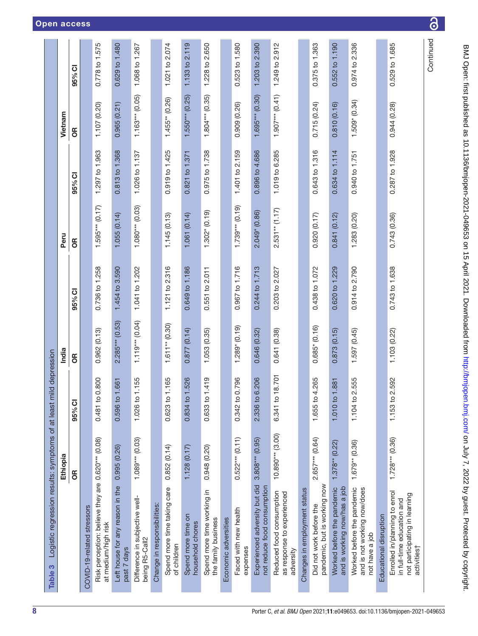<span id="page-7-0"></span>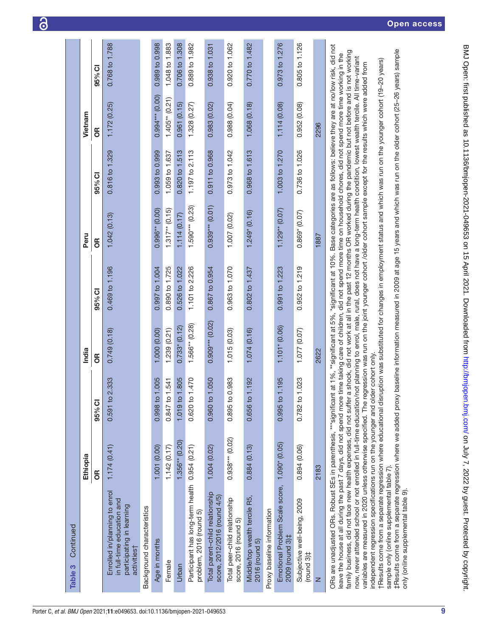| Continued<br>Table 3                                                                                                                                                                                                                                                                                                                                                                                                                                                                                                                                                                                                                                                                                                                                                    |                    |                |                   |                |                     |                |                   |                |
|-------------------------------------------------------------------------------------------------------------------------------------------------------------------------------------------------------------------------------------------------------------------------------------------------------------------------------------------------------------------------------------------------------------------------------------------------------------------------------------------------------------------------------------------------------------------------------------------------------------------------------------------------------------------------------------------------------------------------------------------------------------------------|--------------------|----------------|-------------------|----------------|---------------------|----------------|-------------------|----------------|
|                                                                                                                                                                                                                                                                                                                                                                                                                                                                                                                                                                                                                                                                                                                                                                         | Ethiopia           |                | India             |                | Peru                |                | Vietnam           |                |
|                                                                                                                                                                                                                                                                                                                                                                                                                                                                                                                                                                                                                                                                                                                                                                         | $\frac{1}{2}$      | 95% CI         | 6R                | 95% CI         | 6R                  | 95% CI         | бR                | 95% CI         |
| Enrolled in/planning to enrol<br>in full-time education and<br>participating in learning<br>activities <sup>+</sup>                                                                                                                                                                                                                                                                                                                                                                                                                                                                                                                                                                                                                                                     | 1.174(0.41)        | 0.591 to 2.333 | 0.749(0.18)       | 0.469 to 1.196 | 1.042(0.13)         | 0.816 to 1.329 | 1.172(0.25)       | 0.768 to 1.788 |
| Background characteristics                                                                                                                                                                                                                                                                                                                                                                                                                                                                                                                                                                                                                                                                                                                                              |                    |                |                   |                |                     |                |                   |                |
| Age in months                                                                                                                                                                                                                                                                                                                                                                                                                                                                                                                                                                                                                                                                                                                                                           | 1.001 (0.00)       | 0.998 to 1.005 | 1.000 (0.00)      | 0.997 to 1.004 | $0.996**$ $(0.00)$  | 0.993 to 0.999 | $0.994***$ (0.00) | 0.989 to 0.998 |
| Female                                                                                                                                                                                                                                                                                                                                                                                                                                                                                                                                                                                                                                                                                                                                                                  | 1.142(0.17)        | 0.847 to 1.541 | 1.239 (0.21)      | 0.890 to 1.725 | $1.317**$ (0.15)    | 1.059 to 1.637 | $1.405**$ (0.21)  | 1.048 to 1.883 |
| Urban                                                                                                                                                                                                                                                                                                                                                                                                                                                                                                                                                                                                                                                                                                                                                                   | $1.356**$ $(0.20)$ | 1.019 to 1.805 | 0.733(0.12)       | 0.526 to 1.022 | 1.114(0.17)         | 0.820 to 1.513 | 0.961(0.15)       | 0.706 to 1.308 |
| Participant has long-term health 0.954 (0.21)<br>problem, 2016 (round 5)                                                                                                                                                                                                                                                                                                                                                                                                                                                                                                                                                                                                                                                                                                |                    | 0.620 to 1.470 | $1.566**$ (0.28)  | 1.101 to 2.226 | $1.590***$ (0.23)   | 1.197 to 2.113 | 1.328(0.27)       | 0.889 to 1.982 |
| Total parent-child relationship<br>score, 2012/2016 (round 4/5)                                                                                                                                                                                                                                                                                                                                                                                                                                                                                                                                                                                                                                                                                                         | 1.004(0.02)        | 0.960 to 1.050 | $0.909***$ (0.02) | 0.867 to 0.954 | $0.939***$ $(0.01)$ | 0.911 to 0.968 | 0.983(0.02)       | 0.938 to 1.031 |
| Total peer-child relationship<br>score, 2016 (round 5)                                                                                                                                                                                                                                                                                                                                                                                                                                                                                                                                                                                                                                                                                                                  | $0.938***$ (0.02)  | 0.895 to 0.983 | 1.015 (0.03)      | 0.963 to 1.070 | 1.007 (0.02)        | 0.973 to 1.042 | 0.988(0.04)       | 0.920 to 1.062 |
| Middle/top wealth tercile R5,<br>2016 (round 5)                                                                                                                                                                                                                                                                                                                                                                                                                                                                                                                                                                                                                                                                                                                         | 0.884(0.13)        | 0.656 to 1.192 | 1.074(0.16)       | 0.802 to 1.437 | $1.249$ (0.16)      | 0.968 to 1.613 | 1.068 (0.18)      | 0.770 to 1.482 |
| Proxy baseline information                                                                                                                                                                                                                                                                                                                                                                                                                                                                                                                                                                                                                                                                                                                                              |                    |                |                   |                |                     |                |                   |                |
| Emotional Problem Scale score,<br>2009 (round 3) <sup>‡</sup>                                                                                                                                                                                                                                                                                                                                                                                                                                                                                                                                                                                                                                                                                                           | $1.090* (0.05)$    | 0.995 to 1.195 | $1.101* (0.06)$   | 0.991 to 1.223 | $1.129**$ (0.07)    | 1.003 to 1.270 | 1.114(0.08)       | 0.973 to 1.276 |
| Subjective well-being, 2009<br>$($ round $3$ ) $\ddagger$                                                                                                                                                                                                                                                                                                                                                                                                                                                                                                                                                                                                                                                                                                               | 0.894 (0.06)       | 0.782 to 1.023 | (20.077)          | 0.952 to 1.219 | $0.869*$ (0.07)     | 0.736 to 1.026 | 0.952 (0.08)      | 0.805 to 1.126 |
| $\mathsf{z}$                                                                                                                                                                                                                                                                                                                                                                                                                                                                                                                                                                                                                                                                                                                                                            | 2183               |                | 2622              |                | 1887                |                | 2296              |                |
| ORs are unadjusted ORs. Robust SEs in parenthesis, ***significant at 1%, **significant at 5%, *significant at 10%. Base categories are as follows: believe they are at no/low risk, did not<br>family business, did not face new health expenses, did not suffer a shock, did not work at all in the past 12 months OR worked during the pandemic but not before and is not working<br>leave the house at all during the past 7 days, did not spend more time faking care of children, did not spend more time on household chores, did not spend more time working in the<br>now, never attended school or not enrolled in full-time education/not planning to enrol, male, rural, does not have a long-term health condition. Iowest wealth tercile, All time-variant |                    |                |                   |                |                     |                |                   |                |

now, never attended school or not enrolled in full-time education/not planning to enrol, male, rural, does not have a long-term health condition, lowest wealth tercile. All time-variant independent regression specifications run on the younger and older cohort only.<br>†Results come from a separate regression where educational disruption was substituted for changes in employment status and which was run on th now, never autenced school of not enroned in full-time education including to enror, finale, furta, coes not have a forget children confundity, fowest wearin feroids are measured in 2020 unless otherwise specified. The reg variables are measured in 2020 unless otherwise specified. The regression was run on the joint younger cohort /older cohort sample except for the results which were added from independent regression specifications run on the younger and older cohort only.

†Results come from a separate regression where educational disruption was substituted for changes in employment status and which was run on the younger cohort (19–20 years) sample only (online supplemental table 7). sample only [\(online supplemental table 7](https://dx.doi.org/10.1136/bmjopen-2021-049653)).

#Results come from a separate regression where we added proxy baseline information measured in 2009 at age 15 years and which was run on the older cohort (25-26 years) sample ‡Results come from a separate regression where we added proxy baseline information measured in 2009 at age 15 years and which was run on the older cohort (25–26 years) sample only (online supplemental table 9). only [\(online supplemental table 9](https://dx.doi.org/10.1136/bmjopen-2021-049653)).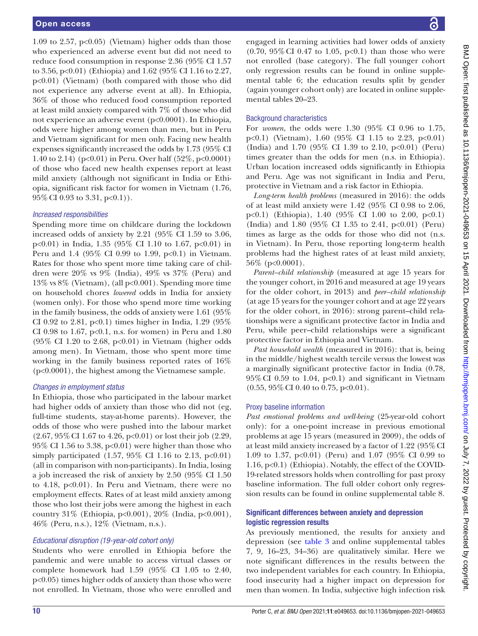1.09 to 2.57,  $p<0.05$ ) (Vietnam) higher odds than those who experienced an adverse event but did not need to reduce food consumption in response 2.36 (95% CI 1.57 to 3.56, p<0.01) (Ethiopia) and 1.62 (95% CI 1.16 to 2.27, p<0.01) (Vietnam) (both compared with those who did not experience any adverse event at all). In Ethiopia, 36% of those who reduced food consumption reported at least mild anxiety compared with 7% of those who did not experience an adverse event (p<0.0001). In Ethiopia, odds were higher among women than men, but in Peru and Vietnam significant for men only. Facing new health expenses significantly increased the odds by 1.73 (95% CI 1.40 to 2.14) (p<0.01) in Peru. Over half (52%, p<0.0001) of those who faced new health expenses report at least mild anxiety (although not significant in India or Ethiopia, significant risk factor for women in Vietnam (1.76, 95%CI 0.93 to 3.31, p<0.1)).

#### *Increased responsibilities*

Spending more time on childcare during the lockdown increased odds of anxiety by 2.21 (95% CI 1.59 to 3.06, p<0.01) in India, 1.35 (95% CI 1.10 to 1.67, p<0.01) in Peru and 1.4 (95% CI 0.99 to 1.99,  $p<0.1$ ) in Vietnam. Rates for those who spent more time taking care of children were 20% vs 9% (India), 49% vs 37% (Peru) and 13% vs 8% (Vietnam), (all p<0.001). Spending more time on household chores *lowered* odds in India for anxiety (women only). For those who spend more time working in the family business, the odds of anxiety were 1.61 (95% CI 0.92 to 2.81,  $p<0.1$ ) times higher in India, 1.29 (95%) CI 0.98 to 1.67,  $p<0.1$ , n.s. for women) in Peru and 1.80 (95% CI 1.20 to 2.68, p<0.01) in Vietnam (higher odds among men). In Vietnam, those who spent more time working in the family business reported rates of 16% (p<0.0001), the highest among the Vietnamese sample.

#### *Changes in employment status*

In Ethiopia, those who participated in the labour market had higher odds of anxiety than those who did not (eg, full-time students, stay-at-home parents). However, the odds of those who were pushed into the labour market (2.67, 95%CI 1.67 to 4.26, p<0.01) or lost their job (2.29, 95% CI 1.56 to 3.38, p<0.01) were higher than those who simply participated  $(1.57, 95\% \text{ CI } 1.16 \text{ to } 2.13, \text{ p} < 0.01)$ (all in comparison with non-participants). In India, losing a job increased the risk of anxiety by 2.50 (95% CI 1.50 to 4.18, p<0.01). In Peru and Vietnam, there were no employment effects. Rates of at least mild anxiety among those who lost their jobs were among the highest in each country 31% (Ethiopia, p<0.001), 20% (India, p<0.001), 46% (Peru, n.s.), 12% (Vietnam, n.s.).

## *Educational disruption (19-year-old cohort only)*

Students who were enrolled in Ethiopia before the pandemic and were unable to access virtual classes or complete homework had 1.59 (95% CI 1.05 to 2.40, p<0.05) times higher odds of anxiety than those who were not enrolled. In Vietnam, those who were enrolled and engaged in learning activities had lower odds of anxiety  $(0.70, 95\% \text{ CI } 0.47 \text{ to } 1.05, \text{ p} < 0.1)$  than those who were not enrolled (base category). The full younger cohort only regression results can be found in [online supple](https://dx.doi.org/10.1136/bmjopen-2021-049653)[mental table 6;](https://dx.doi.org/10.1136/bmjopen-2021-049653) the education results split by gender (again younger cohort only) are located in [online supple](https://dx.doi.org/10.1136/bmjopen-2021-049653)[mental tables 20–23](https://dx.doi.org/10.1136/bmjopen-2021-049653).

#### Background characteristics

For *women*, the odds were 1.30 (95% CI 0.96 to 1.75, p<0.1) (Vietnam), 1.60 (95% CI 1.15 to 2.23, p<0.01) (India) and 1.70 (95% CI 1.39 to 2.10, p<0.01) (Peru) times greater than the odds for men (n.s. in Ethiopia). Urban location increased odds significantly in Ethiopia and Peru. Age was not significant in India and Peru, protective in Vietnam and a risk factor in Ethiopia.

*Long-term health problems* (measured in 2016): the odds of at least mild anxiety were 1.42 (95% CI 0.98 to 2.06, p<0.1) (Ethiopia), 1.40 (95% CI 1.00 to 2.00, p<0.1) (India) and 1.80 (95% CI 1.35 to 2.41, p<0.01) (Peru) times as large as the odds for those who did not (n.s. in Vietnam). In Peru, those reporting long-term health problems had the highest rates of at least mild anxiety, 56% (p<0.0001).

*Parent–child relationship* (measured at age 15 years for the younger cohort, in 2016 and measured at age 19 years for the older cohort, in 2013) and *peer–child relationship* (at age 15 years for the younger cohort and at age 22 years for the older cohort, in 2016): strong parent–child relationships were a significant protective factor in India and Peru, while peer–child relationships were a significant protective factor in Ethiopia and Vietnam.

*Past household wealth* (measured in 2016): that is, being in the middle/highest wealth tercile versus the lowest was a marginally significant protective factor in India (0.78,  $95\%$  CI 0.59 to 1.04, p<0.1) and significant in Vietnam (0.55, 95%CI 0.40 to 0.75, p<0.01).

#### Proxy baseline information

*Past emotional problems and well-being* (25-year-old cohort only): for a one-point increase in previous emotional problems at age 15 years (measured in 2009), the odds of at least mild anxiety increased by a factor of 1.22 (95%CI 1.09 to 1.37, p<0.01) (Peru) and 1.07 (95% CI 0.99 to 1.16, p<0.1) (Ethiopia). Notably, the effect of the COVID-19-related stressors holds when controlling for past proxy baseline information. The full older cohort only regression results can be found in [online supplemental table 8](https://dx.doi.org/10.1136/bmjopen-2021-049653).

#### Significant differences between anxiety and depression logistic regression results

As previously mentioned, the results for anxiety and depression (see [table](#page-7-0) 3 and [online supplemental tables](https://dx.doi.org/10.1136/bmjopen-2021-049653)  [7, 9, 16–23, 34–36\)](https://dx.doi.org/10.1136/bmjopen-2021-049653) are qualitatively similar. Here we note significant differences in the results between the two independent variables for each country. In Ethiopia, food insecurity had a higher impact on depression for men than women. In India, subjective high infection risk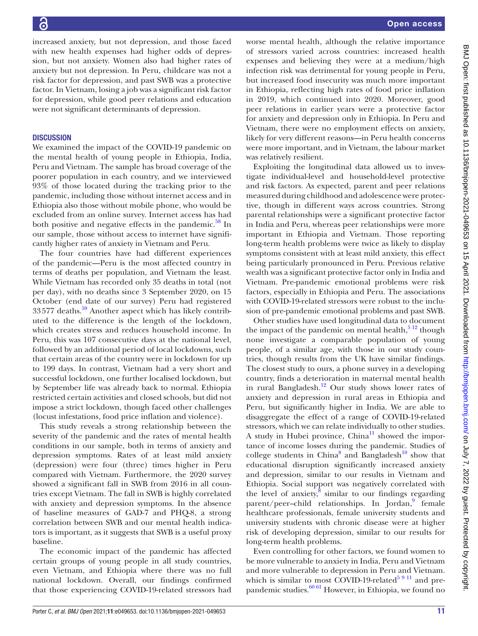increased anxiety, but not depression, and those faced with new health expenses had higher odds of depression, but not anxiety. Women also had higher rates of anxiety but not depression. In Peru, childcare was not a risk factor for depression, and past SWB was a protective factor. In Vietnam, losing a job was a significant risk factor for depression, while good peer relations and education were not significant determinants of depression.

## **DISCUSSION**

We examined the impact of the COVID-19 pandemic on the mental health of young people in Ethiopia, India, Peru and Vietnam. The sample has broad coverage of the poorer population in each country, and we interviewed 93% of those located during the tracking prior to the pandemic, including those without internet access and in Ethiopia also those without mobile phone, who would be excluded from an online survey. Internet access has had both positive and negative effects in the pandemic. $58$  In our sample, those without access to internet have significantly higher rates of anxiety in Vietnam and Peru.

The four countries have had different experiences of the pandemic—Peru is the most affected country in terms of deaths per population, and Vietnam the least. While Vietnam has recorded only 35 deaths in total (not per day), with no deaths since 3 September 2020, on 15 October (end date of our survey) Peru had registered  $33577$  deaths.<sup>59</sup> Another aspect which has likely contributed to the difference is the length of the lockdown, which creates stress and reduces household income. In Peru, this was 107 consecutive days at the national level, followed by an additional period of local lockdowns, such that certain areas of the country were in lockdown for up to 199 days. In contrast, Vietnam had a very short and successful lockdown, one further localised lockdown, but by September life was already back to normal. Ethiopia restricted certain activities and closed schools, but did not impose a strict lockdown, though faced other challenges (locust infestations, food price inflation and violence).

This study reveals a strong relationship between the severity of the pandemic and the rates of mental health conditions in our sample, both in terms of anxiety and depression symptoms. Rates of at least mild anxiety (depression) were four (three) times higher in Peru compared with Vietnam. Furthermore, the 2020 survey showed a significant fall in SWB from 2016 in all countries except Vietnam. The fall in SWB is highly correlated with anxiety and depression symptoms. In the absence of baseline measures of GAD-7 and PHQ-8, a strong correlation between SWB and our mental health indicators is important, as it suggests that SWB is a useful proxy baseline.

The economic impact of the pandemic has affected certain groups of young people in all study countries, even Vietnam, and Ethiopia where there was no full national lockdown. Overall, our findings confirmed that those experiencing COVID-19-related stressors had

worse mental health, although the relative importance of stressors varied across countries: increased health expenses and believing they were at a medium/high infection risk was detrimental for young people in Peru, but increased food insecurity was much more important in Ethiopia, reflecting high rates of food price inflation in 2019, which continued into 2020. Moreover, good peer relations in earlier years were a protective factor for anxiety and depression only in Ethiopia. In Peru and Vietnam, there were no employment effects on anxiety, likely for very different reasons—in Peru health concerns were more important, and in Vietnam, the labour market was relatively resilient.

Exploiting the longitudinal data allowed us to investigate individual-level and household-level protective and risk factors. As expected, parent and peer relations measured during childhood and adolescence were protective, though in different ways across countries. Strong parental relationships were a significant protective factor in India and Peru, whereas peer relationships were more important in Ethiopia and Vietnam. Those reporting long-term health problems were twice as likely to display symptoms consistent with at least mild anxiety, this effect being particularly pronounced in Peru. Previous relative wealth was a significant protective factor only in India and Vietnam. Pre-pandemic emotional problems were risk factors, especially in Ethiopia and Peru. The associations with COVID-19-related stressors were robust to the inclusion of pre-pandemic emotional problems and past SWB.

Other studies have used longitudinal data to document the impact of the pandemic on mental health, $5^{12}$  though none investigate a comparable population of young people, of a similar age, with those in our study countries, though results from the UK have similar findings. The closest study to ours, a phone survey in a developing country, finds a deterioration in maternal mental health in rural Bangladesh.<sup>12</sup> Our study shows lower rates of anxiety and depression in rural areas in Ethiopia and Peru, but significantly higher in India. We are able to disaggregate the effect of a range of COVID-19-related stressors, which we can relate individually to other studies. A study in Hubei province,  $China<sup>11</sup>$  showed the importance of income losses during the pandemic. Studies of college students in China<sup>[8](#page-12-5)</sup> and Bangladesh<sup>10</sup> show that educational disruption significantly increased anxiety and depression, similar to our results in Vietnam and Ethiopia. Social support was negatively correlated with the level of anxiety, $\frac{8}{3}$  $\frac{8}{3}$  $\frac{8}{3}$  similar to our findings regarding parent/peer-child relationships. In Jordan,<sup>[9](#page-12-21)</sup> female healthcare professionals, female university students and university students with chronic disease were at higher risk of developing depression, similar to our results for long-term health problems.

Even controlling for other factors, we found women to be more vulnerable to anxiety in India, Peru and Vietnam and more vulnerable to depression in Peru and Vietnam. which is similar to most COVID-19-related<sup>5 9 11</sup> and prepandemic studies.  $60 61$  However, in Ethiopia, we found no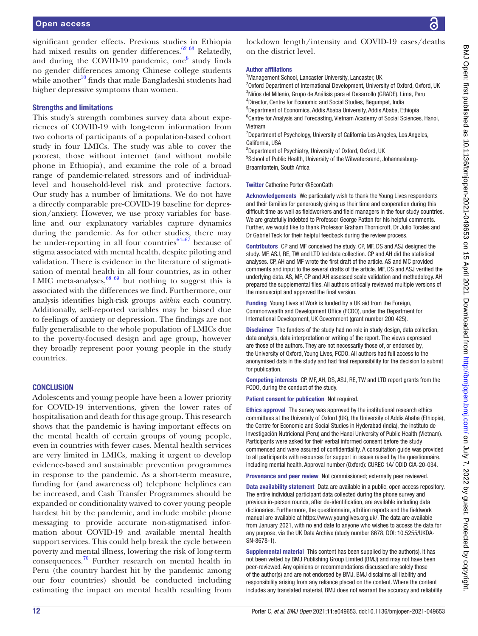significant gender effects. Previous studies in Ethiopia had mixed results on gender differences.<sup>62</sup> 63 Relatedly, and during the COVID-19 pandemic, one<sup>[8](#page-12-5)</sup> study finds no gender differences among Chinese college students while another $10$  finds that male Bangladeshi students had higher depressive symptoms than women.

#### Strengths and limitations

This study's strength combines survey data about experiences of COVID-19 with long-term information from two cohorts of participants of a population-based cohort study in four LMICs. The study was able to cover the poorest, those without internet (and without mobile phone in Ethiopia), and examine the role of a broad range of pandemic-related stressors and of individuallevel and household-level risk and protective factors. Our study has a number of limitations. We do not have a directly comparable pre-COVID-19 baseline for depression/anxiety. However, we use proxy variables for baseline and our explanatory variables capture dynamics during the pandemic. As for other studies, there may be under-reporting in all four countries $64-67$  because of stigma associated with mental health, despite piloting and validation. There is evidence in the literature of stigmatisation of mental health in all four countries, as in other LMIC meta-analyses,  $68\,69$  but nothing to suggest this is associated with the differences we find. Furthermore, our analysis identifies high-risk groups *within* each country. Additionally, self-reported variables may be biased due to feelings of anxiety or depression. The findings are not fully generalisable to the whole population of LMICs due to the poverty-focused design and age group, however they broadly represent poor young people in the study countries.

#### **CONCLUSION**

Adolescents and young people have been a lower priority for COVID-19 interventions, given the lower rates of hospitalisation and death for this age group. This research shows that the pandemic is having important effects on the mental health of certain groups of young people, even in countries with fewer cases. Mental health services are very limited in LMICs, making it urgent to develop evidence-based and sustainable prevention programmes in response to the pandemic. As a short-term measure, funding for (and awareness of) telephone helplines can be increased, and Cash Transfer Programmes should be expanded or conditionality waived to cover young people hardest hit by the pandemic, and include mobile phone messaging to provide accurate non-stigmatised information about COVID-19 and available mental health support services. This could help break the cycle between poverty and mental illness, lowering the risk of long-term consequences.<sup>[70](#page-13-16)</sup> Further research on mental health in Peru (the country hardest hit by the pandemic among our four countries) should be conducted including estimating the impact on mental health resulting from

lockdown length/intensity and COVID-19 cases/deaths on the district level.

#### Author affiliations

<sup>1</sup> Management School, Lancaster University, Lancaster, UK

<sup>2</sup>Oxford Department of International Development, University of Oxford, Oxford, UK Niños del Milenio, Grupo de Análisis para el Desarrollo (GRADE), Lima, Peru Director, Centre for Economic and Social Studies, Begumpet, India Department of Economics, Addis Ababa University, Addis Ababa, Ethiopia

<sup>6</sup> Centre for Analysis and Forecasting, Vietnam Academy of Social Sciences, Hanoi, Vietnam

<sup>7</sup>Department of Psychology, University of California Los Angeles, Los Angeles, California, USA

8 Department of Psychiatry, University of Oxford, Oxford, UK

<sup>9</sup>School of Public Health, University of the Witwatersrand, Johannesburg-Braamfontein, South Africa

#### Twitter Catherine Porter [@EconCath](https://twitter.com/EconCath)

Acknowledgements We particularly wish to thank the Young Lives respondents and their families for generously giving us their time and cooperation during this difficult time as well as fieldworkers and field managers in the four study countries. We are gratefully indebted to Professor George Patton for his helpful comments. Further, we would like to thank Professor Graham Thornicroft, Dr Julio Torales and Dr Gabriel Teck for their helpful feedback during the review process.

Contributors CP and MF conceived the study. CP, MF, DS and ASJ designed the study. MF, ASJ, RE, TW and LTD led data collection. CP and AH did the statistical analyses. CP, AH and MF wrote the first draft of the article. AS and MC provided comments and input to the several drafts of the article. MF, DS and ASJ verified the underlying data. AS, MF, CP and AH assessed scale validation and methodology. AH prepared the supplemental files. All authors critically reviewed multiple versions of the manuscript and approved the final version.

Funding Young Lives at Work is funded by a UK aid from the Foreign, Commonwealth and Development Office (FCDO), under the Department for International Development, UK Government (grant number 200 425).

Disclaimer The funders of the study had no role in study design, data collection, data analysis, data interpretation or writing of the report. The views expressed are those of the authors. They are not necessarily those of, or endorsed by, the University of Oxford, Young Lives, FCDO. All authors had full access to the anonymised data in the study and had final responsibility for the decision to submit for publication.

Competing interests CP, MF, AH, DS, ASJ, RE, TW and LTD report grants from the FCDO, during the conduct of the study.

#### Patient consent for publication Not required.

Ethics approval The survey was approved by the institutional research ethics committees at the University of Oxford (UK), the University of Addis Ababa (Ethiopia), the Centre for Economic and Social Studies in Hyderabad (India), the Instituto de Investigación Nutricional (Peru) and the Hanoi University of Public Health (Vietnam). Participants were asked for their verbal informed consent before the study commenced and were assured of confidentiality. A consultation guide was provided to all participants with resources for support in issues raised by the questionnaire, including mental health. Approval number (Oxford): CUREC 1A/ ODID CIA-20-034.

Provenance and peer review Not commissioned; externally peer reviewed.

Data availability statement Data are available in a public, open access repository. The entire individual participant data collected during the phone survey and previous in-person rounds, after de-identification, are available including data dictionaries. Furthermore, the questionnaire, attrition reports and the fieldwork manual are available at <https://www.younglives.org.uk/>. The data are available from January 2021, with no end date to anyone who wishes to access the data for any purpose, via the UK Data Archive (study number 8678, DOI: 10.5255/UKDA-SN-8678-1).

Supplemental material This content has been supplied by the author(s). It has not been vetted by BMJ Publishing Group Limited (BMJ) and may not have been peer-reviewed. Any opinions or recommendations discussed are solely those of the author(s) and are not endorsed by BMJ. BMJ disclaims all liability and responsibility arising from any reliance placed on the content. Where the content includes any translated material, BMJ does not warrant the accuracy and reliability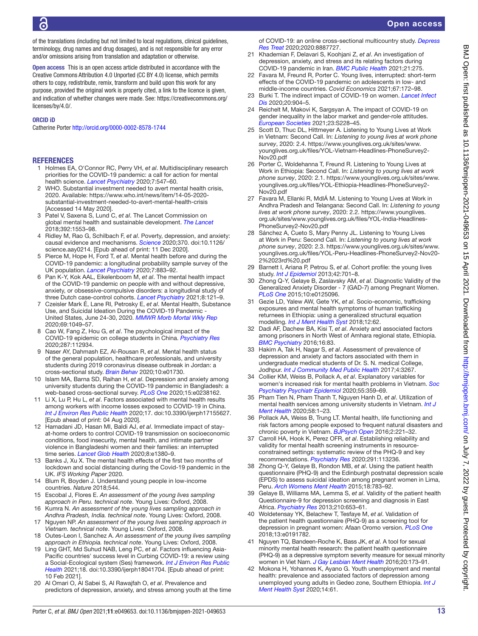of the translations (including but not limited to local regulations, clinical guidelines, terminology, drug names and drug dosages), and is not responsible for any error and/or omissions arising from translation and adaptation or otherwise.

Open access This is an open access article distributed in accordance with the Creative Commons Attribution 4.0 Unported (CC BY 4.0) license, which permits others to copy, redistribute, remix, transform and build upon this work for any purpose, provided the original work is properly cited, a link to the licence is given, and indication of whether changes were made. See: [https://creativecommons.org/](https://creativecommons.org/licenses/by/4.0/) [licenses/by/4.0/.](https://creativecommons.org/licenses/by/4.0/)

#### ORCID iD

Catherine Porter<http://orcid.org/0000-0002-8578-1744>

#### **REFERENCES**

- <span id="page-12-0"></span>1 Holmes EA, O'Connor RC, Perry VH, *et al*. Multidisciplinary research priorities for the COVID-19 pandemic: a call for action for mental health science. *[Lancet Psychiatry](http://dx.doi.org/10.1016/S2215-0366(20)30168-1)* 2020;7:547–60.
- <span id="page-12-1"></span>2 WHO. Substantial investment needed to avert mental health crisis, 2020. Available: [https://www.who.int/news/item/14-05-2020](https://www.who.int/news/item/14-05-2020-substantial-investment-needed-to-avert-mental-health-crisis) [substantial-investment-needed-to-avert-mental-health-crisis](https://www.who.int/news/item/14-05-2020-substantial-investment-needed-to-avert-mental-health-crisis)  [Accessed 14 May 2020].
- <span id="page-12-2"></span>3 Patel V, Saxena S, Lund C, *et al*. The Lancet Commission on global mental health and sustainable development. *[The Lancet](http://dx.doi.org/10.1016/S0140-6736(18)31612-X)* 2018;392:1553–98.
- <span id="page-12-3"></span>4 Ridley M, Rao G, Schilbach F, *et al*. Poverty, depression, and anxiety: causal evidence and mechanisms. *[Science](http://dx.doi.org/10.1126/science.aay0214)* 2020;370. doi:10.1126/ science.aay0214. [Epub ahead of print: 11 Dec 2020].
- <span id="page-12-4"></span>5 Pierce M, Hope H, Ford T, *et al*. Mental health before and during the COVID-19 pandemic: a longitudinal probability sample survey of the UK population. *[Lancet Psychiatry](http://dx.doi.org/10.1016/S2215-0366(20)30308-4)* 2020;7:883–92.
- 6 Pan K-Y, Kok AAL, Eikelenboom M, *et al*. The mental health impact of the COVID-19 pandemic on people with and without depressive, anxiety, or obsessive-compulsive disorders: a longitudinal study of three Dutch case-control cohorts. *[Lancet Psychiatry](http://dx.doi.org/10.1016/S2215-0366(20)30491-0)* 2021;8:121–9.
- 7 Czeisler Mark É, Lane RI, Petrosky E, *et al*. Mental Health, Substance Use, and Suicidal Ideation During the COVID-19 Pandemic - United States, June 24-30, 2020. *[MMWR Morb Mortal Wkly Rep](http://dx.doi.org/10.15585/mmwr.mm6932a1)* 2020;69:1049–57.
- <span id="page-12-5"></span>8 Cao W, Fang Z, Hou G, *et al*. The psychological impact of the COVID-19 epidemic on college students in China. *[Psychiatry Res](http://dx.doi.org/10.1016/j.psychres.2020.112934)* 2020;287:112934.
- <span id="page-12-21"></span>9 Naser AY, Dahmash EZ, Al-Rousan R, *et al*. Mental health status of the general population, healthcare professionals, and university students during 2019 coronavirus disease outbreak in Jordan: a cross-sectional study. *[Brain Behav](http://dx.doi.org/10.1002/brb3.1730)* 2020;10:e01730.
- <span id="page-12-20"></span>10 Islam MA, Barna SD, Raihan H, *et al*. Depression and anxiety among university students during the COVID-19 pandemic in Bangladesh: a web-based cross-sectional survey. *[PLoS One](http://dx.doi.org/10.1371/journal.pone.0238162)* 2020;15:e0238162.
- <span id="page-12-19"></span>11 Li X, Lu P, Hu L, *et al*. Factors associated with mental health results among workers with income losses exposed to COVID-19 in China. *[Int J Environ Res Public Health](http://dx.doi.org/10.3390/ijerph17155627)* 2020;17. doi:10.3390/ijerph17155627. [Epub ahead of print: 04 Aug 2020].
- <span id="page-12-6"></span>12 Hamadani JD, Hasan MI, Baldi AJ, *et al*. Immediate impact of stayat-home orders to control COVID-19 transmission on socioeconomic conditions, food insecurity, mental health, and intimate partner violence in Bangladeshi women and their families: an interrupted time series. *[Lancet Glob Health](http://dx.doi.org/10.1016/S2214-109X(20)30366-1)* 2020;8:e1380–9.
- <span id="page-12-7"></span>13 Banks J, Xu X. The mental health effects of the first two months of lockdown and social distancing during the Covid-19 pandemic in the UK. *IFS Working Paper* 2020.
- <span id="page-12-8"></span>14 Blum R, Boyden J. Understand young people in low-income countries. *Nature* 2018;544.
- <span id="page-12-9"></span>15 Escobal J, Flores E. *An assessment of the young lives sampling approach in Peru. technical note*. Young Lives: Oxford, 2008.
- 16 Kumra N. *An assessment of the young lives sampling approach in Andhra Pradesh, India. technical note*. Young Lives: Oxford, 2008.
- 17 Nguyen NP. *An assessment of the young lives sampling approach in Vietnam. technical note*. Young Lives: Oxford, 2008.
- 18 Outes-Leon I, Sanchez A. *An assessment of the young lives sampling approach in Ethiopia. technical note*. Young Lives: Oxford, 2008.
- <span id="page-12-10"></span>19 Ling GHT, Md Suhud NAB, Leng PC, *et al*. Factors influencing Asia-Pacific countries' success level in Curbing COVID-19: a review using a Social-Ecological system (Ses) framework. *[Int J Environ Res Public](http://dx.doi.org/10.3390/ijerph18041704)  [Health](http://dx.doi.org/10.3390/ijerph18041704)* 2021;18. doi:10.3390/ijerph18041704. [Epub ahead of print: 10 Feb 2021].
- 20 Al Omari O, Al Sabei S, Al Rawajfah O, *et al*. Prevalence and predictors of depression, anxiety, and stress among youth at the time

of COVID-19: an online cross-sectional multicountry study. *[Depress](http://dx.doi.org/10.1155/2020/8887727)  [Res Treat](http://dx.doi.org/10.1155/2020/8887727)* 2020;2020:8887727.

- 21 Khademian F, Delavari S, Koohjani Z, *et al*. An investigation of depression, anxiety, and stress and its relating factors during COVID-19 pandemic in Iran. *[BMC Public Health](http://dx.doi.org/10.1186/s12889-021-10329-3)* 2021;21:275.
- <span id="page-12-11"></span>22 Favara M, Freund R, Porter C. Young lives, interrupted: short-term effects of the COVID-19 pandemic on adolescents in low- and middle-income countries. *Covid Economics* 2021;67:172–98.
- <span id="page-12-12"></span>23 Burki T. The indirect impact of COVID-19 on women. *[Lancet Infect](http://dx.doi.org/10.1016/S1473-3099(20)30568-5)  [Dis](http://dx.doi.org/10.1016/S1473-3099(20)30568-5)* 2020;20:904–5.
- 24 Reichelt M, Makovi K, Sargsyan A. The impact of COVID-19 on gender inequality in the labor market and gender-role attitudes. *[European Societies](http://dx.doi.org/10.1080/14616696.2020.1823010)* 2021;23:S228–45.
- <span id="page-12-13"></span>25 Scott D, Thuc DL, Hittmeyer A. Listening to Young Lives at Work in Vietnam: Second Call. In: *Listening to young lives at work phone survey*, 2020: 2.4. [https://www.younglives.org.uk/sites/www.](https://www.younglives.org.uk/sites/www.younglives.org.uk/files/YOL-Vietnam-Headlines-PhoneSurvey2-Nov20.pdf) [younglives.org.uk/files/YOL-Vietnam-Headlines-PhoneSurvey2-](https://www.younglives.org.uk/sites/www.younglives.org.uk/files/YOL-Vietnam-Headlines-PhoneSurvey2-Nov20.pdf) [Nov20.pdf](https://www.younglives.org.uk/sites/www.younglives.org.uk/files/YOL-Vietnam-Headlines-PhoneSurvey2-Nov20.pdf)
- 26 Porter C, Woldehanna T, Freund R. Listening to Young Lives at Work in Ethiopia: Second Call. In: *Listening to young lives at work phone survey*, 2020: 2.1. [https://www.younglives.org.uk/sites/www.](https://www.younglives.org.uk/sites/www.younglives.org.uk/files/YOL-Ethiopia-Headlines-PhoneSurvey2-Nov20.pdf) [younglives.org.uk/files/YOL-Ethiopia-Headlines-PhoneSurvey2-](https://www.younglives.org.uk/sites/www.younglives.org.uk/files/YOL-Ethiopia-Headlines-PhoneSurvey2-Nov20.pdf) [Nov20.pdf](https://www.younglives.org.uk/sites/www.younglives.org.uk/files/YOL-Ethiopia-Headlines-PhoneSurvey2-Nov20.pdf)
- 27 Favara M, Ellanki R, MdlÁ M. Listening to Young Lives at Work in Andhra Pradesh and Telangana: Second Call. In: *Listening to young lives at work phone survey*, 2020: 2.2. [https://www.younglives.](https://www.younglives.org.uk/sites/www.younglives.org.uk/files/YOL-India-Headlines-PhoneSurvey2-Nov20.pdf) [org.uk/sites/www.younglives.org.uk/files/YOL-India-Headlines-](https://www.younglives.org.uk/sites/www.younglives.org.uk/files/YOL-India-Headlines-PhoneSurvey2-Nov20.pdf)[PhoneSurvey2-Nov20.pdf](https://www.younglives.org.uk/sites/www.younglives.org.uk/files/YOL-India-Headlines-PhoneSurvey2-Nov20.pdf)
- 28 Sánchez A, Cueto S, Mary Penny JL. Listening to Young Lives at Work in Peru: Second Call. In: *Listening to young lives at work phone survey*, 2020: 2.3. [https://www.younglives.org.uk/sites/www.](https://www.younglives.org.uk/sites/www.younglives.org.uk/files/YOL-Peru-Headlines-PhoneSurvey2-Nov20-2%2023rd%20.pdf) [younglives.org.uk/files/YOL-Peru-Headlines-PhoneSurvey2-Nov20-](https://www.younglives.org.uk/sites/www.younglives.org.uk/files/YOL-Peru-Headlines-PhoneSurvey2-Nov20-2%2023rd%20.pdf) [2%2023rd%20.pdf](https://www.younglives.org.uk/sites/www.younglives.org.uk/files/YOL-Peru-Headlines-PhoneSurvey2-Nov20-2%2023rd%20.pdf)
- <span id="page-12-14"></span>29 Barnett I, Ariana P, Petrou S, *et al*. Cohort profile: the young lives study. *[Int J Epidemiol](http://dx.doi.org/10.1093/ije/dys082)* 2013;42:701–8.
- <span id="page-12-15"></span>30 Zhong Q-Y, Gelaye B, Zaslavsky AM, *et al*. Diagnostic Validity of the Generalized Anxiety Disorder - 7 (GAD-7) among Pregnant Women. *[PLoS One](http://dx.doi.org/10.1371/journal.pone.0125096)* 2015;10:e0125096.
- <span id="page-12-16"></span>31 Gezie LD, Yalew AW, Gete YK, *et al*. Socio-economic, trafficking exposures and mental health symptoms of human trafficking returnees in Ethiopia: using a generalized structural equation modelling. *[Int J Ment Health Syst](http://dx.doi.org/10.1186/s13033-018-0241-z)* 2018;12:62.
- 32 Dadi AF, Dachew BA, Kisi T, *et al*. Anxiety and associated factors among prisoners in North West of Amhara regional state, Ethiopia. *[BMC Psychiatry](http://dx.doi.org/10.1186/s12888-016-0792-y)* 2016;16:83.
- <span id="page-12-18"></span>33 Hakim A, Tak H, Nagar S, *et al*. Assessment of prevalence of depression and anxiety and factors associated with them in undergraduate medical students of Dr. S. N. medical College, Jodhpur. *[Int J Community Med Public Health](http://dx.doi.org/10.18203/2394-6040.ijcmph20173826)* 2017;4:3267.
- 34 Collier KM, Weiss B, Pollack A, *et al*. Explanatory variables for women's increased risk for mental health problems in Vietnam. *[Soc](http://dx.doi.org/10.1007/s00127-019-01761-3)  [Psychiatry Psychiatr Epidemiol](http://dx.doi.org/10.1007/s00127-019-01761-3)* 2020;55:359–69.
- 35 Pham Tien N, Pham Thanh T, Nguyen Hanh D, *et al*. Utilization of mental health services among university students in Vietnam. *[Int J](http://dx.doi.org/10.1080/00207411.2020.1816114)  [Ment Health](http://dx.doi.org/10.1080/00207411.2020.1816114)* 2020;58:1–23.
- 36 Pollack AA, Weiss B, Trung LT. Mental health, life functioning and risk factors among people exposed to frequent natural disasters and chronic poverty in Vietnam. *[BJPsych Open](http://dx.doi.org/10.1192/bjpo.bp.115.002170)* 2016;2:221–32.
- <span id="page-12-17"></span>37 Carroll HA, Hook K, Perez OFR, *et al*. Establishing reliability and validity for mental health screening instruments in resourceconstrained settings: systematic review of the PHQ-9 and key recommendations. *[Psychiatry Res](http://dx.doi.org/10.1016/j.psychres.2020.113236)* 2020;291:113236.
- 38 Zhong Q-Y, Gelaye B, Rondon MB, *et al*. Using the patient health questionnaire (PHQ-9) and the Edinburgh postnatal depression scale (EPDS) to assess suicidal ideation among pregnant women in Lima, Peru. *[Arch Womens Ment Health](http://dx.doi.org/10.1007/s00737-014-0481-0)* 2015;18:783–92.
- 39 Gelaye B, Williams MA, Lemma S, *et al*. Validity of the patient health Questionnaire-9 for depression screening and diagnosis in East Africa. *[Psychiatry Res](http://dx.doi.org/10.1016/j.psychres.2013.07.015)* 2013;210:653–61.
- 40 Woldetensay YK, Belachew T, Tesfaye M, *et al*. Validation of the patient health questionnaire (PHQ-9) as a screening tool for depression in pregnant women: Afaan Oromo version. *[PLoS One](http://dx.doi.org/10.1371/journal.pone.0191782)* 2018;13:e0191782.
- 41 Nguyen TQ, Bandeen-Roche K, Bass JK, *et al*. A tool for sexual minority mental health research: the patient health questionnaire (PHQ-9) as a depressive symptom severity measure for sexual minority women in Viet Nam. *[J Gay Lesbian Ment Health](http://dx.doi.org/10.1080/19359705.2015.1080204)* 2016;20:173–91.
- 42 Mokona H, Yohannes K, Ayano G. Youth unemployment and mental health: prevalence and associated factors of depression among unemployed young adults in Gedeo zone, Southern Ethiopia. *[Int J](http://dx.doi.org/10.1186/s13033-020-00395-2)  [Ment Health Syst](http://dx.doi.org/10.1186/s13033-020-00395-2)* 2020;14:61.